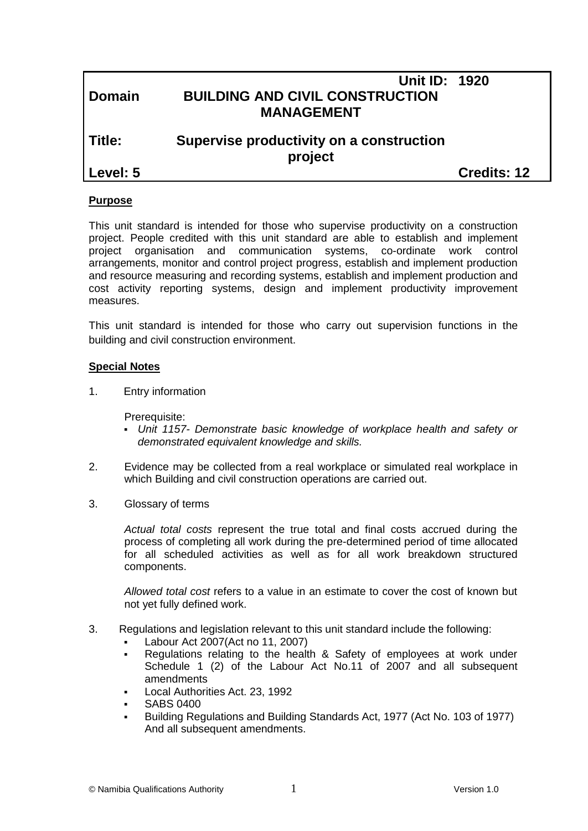|               | <b>Unit ID: 1920</b>                                |                    |
|---------------|-----------------------------------------------------|--------------------|
| <b>Domain</b> | <b>BUILDING AND CIVIL CONSTRUCTION</b>              |                    |
|               | <b>MANAGEMENT</b>                                   |                    |
| Title:        | Supervise productivity on a construction<br>project |                    |
| Level: 5      |                                                     | <b>Credits: 12</b> |
|               |                                                     |                    |

## **Purpose**

This unit standard is intended for those who supervise productivity on a construction project. People credited with this unit standard are able to establish and implement project organisation and communication systems, co-ordinate work control arrangements, monitor and control project progress, establish and implement production and resource measuring and recording systems, establish and implement production and cost activity reporting systems, design and implement productivity improvement measures.

This unit standard is intended for those who carry out supervision functions in the building and civil construction environment.

## **Special Notes**

1. Entry information

Prerequisite:

- *Unit 1157- Demonstrate basic knowledge of workplace health and safety or demonstrated equivalent knowledge and skills.*
- 2. Evidence may be collected from a real workplace or simulated real workplace in which Building and civil construction operations are carried out.
- 3. Glossary of terms

*Actual total costs* represent the true total and final costs accrued during the process of completing all work during the pre-determined period of time allocated for all scheduled activities as well as for all work breakdown structured components.

*Allowed total cost* refers to a value in an estimate to cover the cost of known but not yet fully defined work.

- 3. Regulations and legislation relevant to this unit standard include the following:
	- Labour Act 2007(Act no 11, 2007)
	- Regulations relating to the health & Safety of employees at work under Schedule 1 (2) of the Labour Act No.11 of 2007 and all subsequent amendments
	- Local Authorities Act. 23, 1992
	- SABS 0400
	- Building Regulations and Building Standards Act, 1977 (Act No. 103 of 1977) And all subsequent amendments.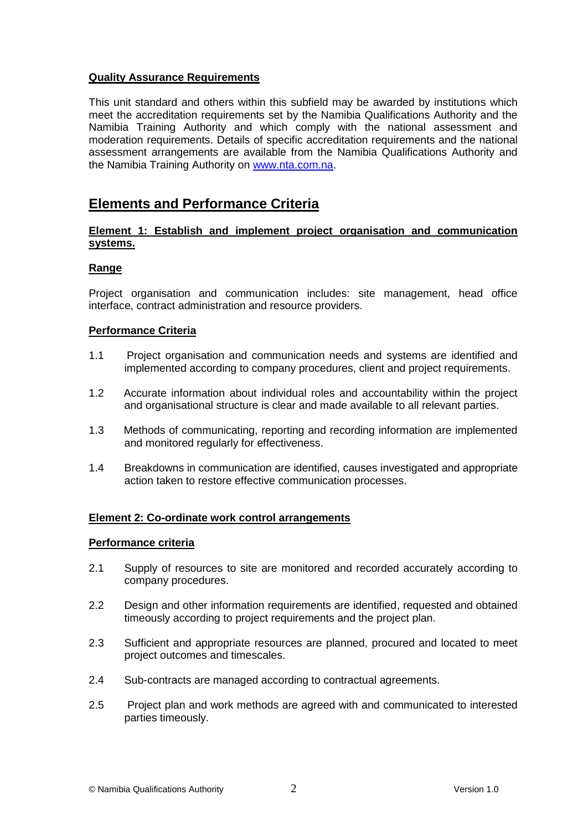# **Quality Assurance Requirements**

This unit standard and others within this subfield may be awarded by institutions which meet the accreditation requirements set by the Namibia Qualifications Authority and the Namibia Training Authority and which comply with the national assessment and moderation requirements. Details of specific accreditation requirements and the national assessment arrangements are available from the Namibia Qualifications Authority and the Namibia Training Authority on [www.nta.com.na.](http://www.nta.com.na/)

# **Elements and Performance Criteria**

## **Element 1: Establish and implement project organisation and communication systems.**

## **Range**

Project organisation and communication includes: site management, head office interface, contract administration and resource providers.

#### **Performance Criteria**

- 1.1 Project organisation and communication needs and systems are identified and implemented according to company procedures, client and project requirements.
- 1.2 Accurate information about individual roles and accountability within the project and organisational structure is clear and made available to all relevant parties.
- 1.3 Methods of communicating, reporting and recording information are implemented and monitored regularly for effectiveness.
- 1.4 Breakdowns in communication are identified, causes investigated and appropriate action taken to restore effective communication processes.

#### **Element 2: Co-ordinate work control arrangements**

#### **Performance criteria**

- 2.1 Supply of resources to site are monitored and recorded accurately according to company procedures.
- 2.2 Design and other information requirements are identified, requested and obtained timeously according to project requirements and the project plan.
- 2.3 Sufficient and appropriate resources are planned, procured and located to meet project outcomes and timescales.
- 2.4 Sub-contracts are managed according to contractual agreements.
- 2.5 Project plan and work methods are agreed with and communicated to interested parties timeously.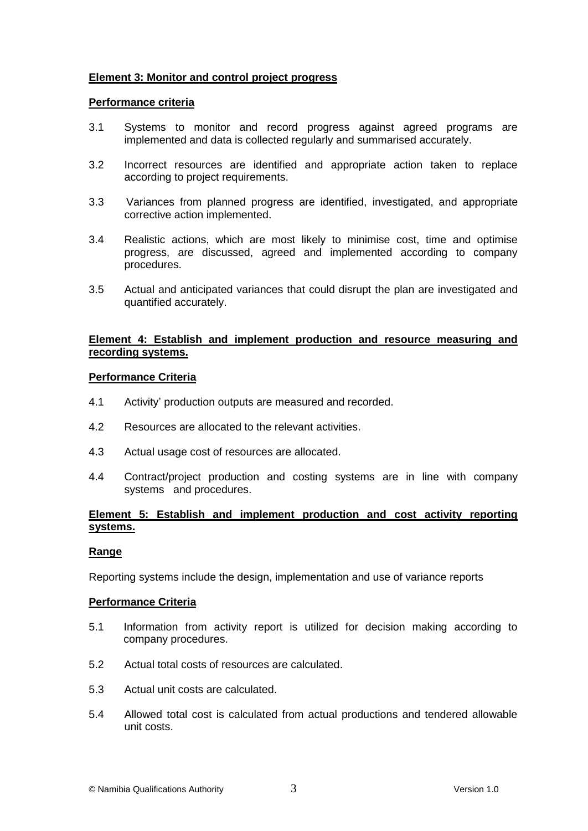# **Element 3: Monitor and control project progress**

#### **Performance criteria**

- 3.1 Systems to monitor and record progress against agreed programs are implemented and data is collected regularly and summarised accurately.
- 3.2 Incorrect resources are identified and appropriate action taken to replace according to project requirements.
- 3.3 Variances from planned progress are identified, investigated, and appropriate corrective action implemented.
- 3.4 Realistic actions, which are most likely to minimise cost, time and optimise progress, are discussed, agreed and implemented according to company procedures.
- 3.5 Actual and anticipated variances that could disrupt the plan are investigated and quantified accurately.

# **Element 4: Establish and implement production and resource measuring and recording systems.**

#### **Performance Criteria**

- 4.1 Activity' production outputs are measured and recorded.
- 4.2 Resources are allocated to the relevant activities.
- 4.3 Actual usage cost of resources are allocated.
- 4.4 Contract/project production and costing systems are in line with company systems and procedures.

# **Element 5: Establish and implement production and cost activity reporting systems.**

#### **Range**

Reporting systems include the design, implementation and use of variance reports

#### **Performance Criteria**

- 5.1 Information from activity report is utilized for decision making according to company procedures.
- 5.2 Actual total costs of resources are calculated.
- 5.3 Actual unit costs are calculated.
- 5.4 Allowed total cost is calculated from actual productions and tendered allowable unit costs.